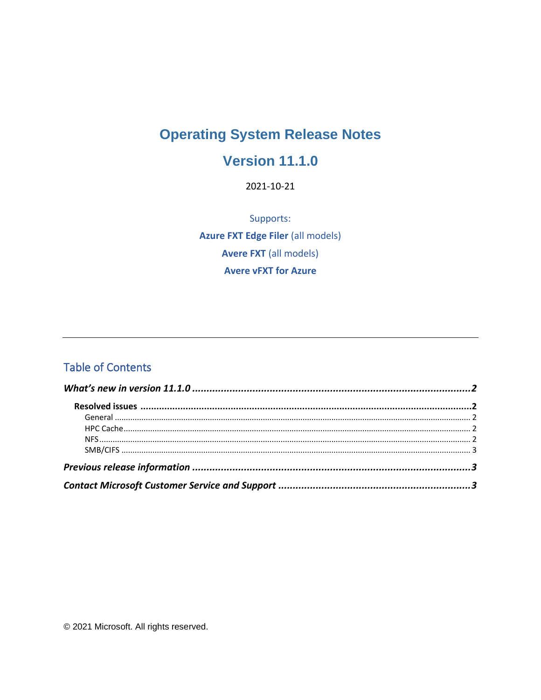# **Operating System Release Notes**

## **Version 11.1.0**

2021-10-21

Supports: **Azure FXT Edge Filer (all models) Avere FXT** (all models) **Avere vFXT for Azure** 

#### **Table of Contents**

© 2021 Microsoft. All rights reserved.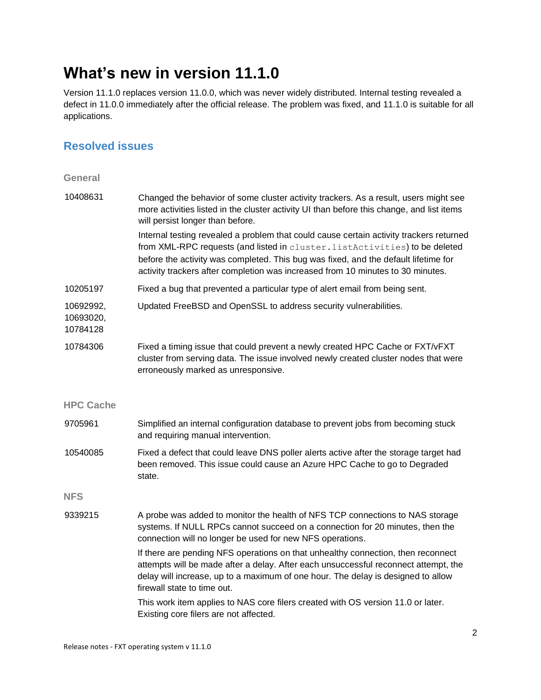## **What's new in version 11.1.0**

Version 11.1.0 replaces version 11.0.0, which was never widely distributed. Internal testing revealed a defect in 11.0.0 immediately after the official release. The problem was fixed, and 11.1.0 is suitable for all applications.

#### **Resolved issues**

| <b>General</b>                     |                                                                                                                                                                                                                                                                                                                                                  |
|------------------------------------|--------------------------------------------------------------------------------------------------------------------------------------------------------------------------------------------------------------------------------------------------------------------------------------------------------------------------------------------------|
| 10408631                           | Changed the behavior of some cluster activity trackers. As a result, users might see<br>more activities listed in the cluster activity UI than before this change, and list items<br>will persist longer than before.                                                                                                                            |
|                                    | Internal testing revealed a problem that could cause certain activity trackers returned<br>from XML-RPC requests (and listed in cluster. listActivities) to be deleted<br>before the activity was completed. This bug was fixed, and the default lifetime for<br>activity trackers after completion was increased from 10 minutes to 30 minutes. |
| 10205197                           | Fixed a bug that prevented a particular type of alert email from being sent.                                                                                                                                                                                                                                                                     |
| 10692992,<br>10693020,<br>10784128 | Updated FreeBSD and OpenSSL to address security vulnerabilities.                                                                                                                                                                                                                                                                                 |
| 10784306                           | Fixed a timing issue that could prevent a newly created HPC Cache or FXT/vFXT<br>cluster from serving data. The issue involved newly created cluster nodes that were<br>erroneously marked as unresponsive.                                                                                                                                      |
| <b>HPC Cache</b>                   |                                                                                                                                                                                                                                                                                                                                                  |
| 9705961                            | Simplified an internal configuration database to prevent jobs from becoming stuck<br>and requiring manual intervention.                                                                                                                                                                                                                          |
| 10540085                           | Fixed a defect that could leave DNS poller alerts active after the storage target had<br>been removed. This issue could cause an Azure HPC Cache to go to Degraded<br>state.                                                                                                                                                                     |
| <b>NFS</b>                         |                                                                                                                                                                                                                                                                                                                                                  |
| 9339215                            | A probe was added to monitor the health of NFS TCP connections to NAS storage<br>systems. If NULL RPCs cannot succeed on a connection for 20 minutes, then the<br>connection will no longer be used for new NFS operations.                                                                                                                      |
|                                    | If there are pending NFS operations on that unhealthy connection, then reconnect<br>attempts will be made after a delay. After each unsuccessful reconnect attempt, the<br>delay will increase, up to a maximum of one hour. The delay is designed to allow<br>firewall state to time out.                                                       |
|                                    | This work item applies to NAS core filers created with OS version 11.0 or later.<br>Existing core filers are not affected.                                                                                                                                                                                                                       |